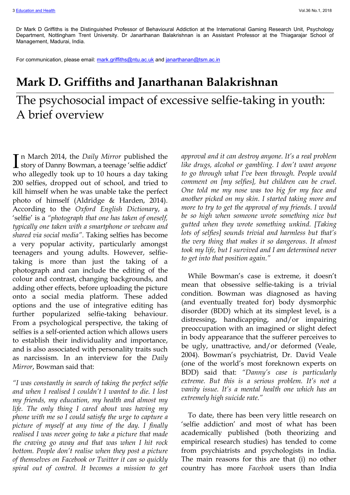Dr Mark D Griffiths is the Distinguished Professor of Behavioural Addiction at the International Gaming Research Unit, Psychology Department, Nottingham Trent University. Dr Janarthanan Balakrishnan is an Assistant Professor at the Thiagarajar School of Management, Madurai, India.

For communication, please email[: mark.griffiths@ntu.ac.uk](mailto:mark.griffiths@ntu.ac.uk) and [janarthanan@tsm.ac.in](mailto:janarthanan@tsm.ac.in)

## **Mark D. Griffiths and Janarthanan Balakrishnan**

## The psychosocial impact of excessive selfie-taking in youth: A brief overview

n March 2014, the *Daily Mirror* published the In March 2014, the *Daily Mirror* published the story of Danny Bowman, a teenage 'selfie addict' who allegedly took up to 10 hours a day taking 200 selfies, dropped out of school, and tried to kill himself when he was unable take the perfect photo of himself (Aldridge & Harden, 2014). According to the *Oxford English Dictionary*, a 'selfie' is a *"photograph that one has taken of oneself, typically one taken with a smartphone or webcam and shared via social media"*. Taking selfies has become a very popular activity, particularly amongst teenagers and young adults. However, selfietaking is more than just the taking of a photograph and can include the editing of the colour and contrast, changing backgrounds, and adding other effects, before uploading the picture onto a social media platform. These added options and the use of integrative editing has further popularized selfie-taking behaviour. From a psychological perspective, the taking of selfies is a self-oriented action which allows users to establish their individuality and importance, and is also associated with personality traits such as narcissism. In an interview for the *Daily Mirror*, Bowman said that:

*"I was constantly in search of taking the perfect selfie and when I realised I couldn't I wanted to die. I lost my friends, my education, my health and almost my life. The only thing I cared about was having my phone with me so I could satisfy the urge to capture a picture of myself at any time of the day. I finally realised I was never going to take a picture that made the craving go away and that was when I hit rock bottom. People don't realise when they post a picture of themselves on Facebook or Twitter it can so quickly spiral out of control. It becomes a mission to get*  *approval and it can destroy anyone. It's a real problem like drugs, alcohol or gambling. I don't want anyone to go through what I've been through. People would comment on [my selfies], but children can be cruel. One told me my nose was too big for my face and another picked on my skin. I started taking more and more to try to get the approval of my friends. I would be so high when someone wrote something nice but gutted when they wrote something unkind. [Taking lots of selfies] sounds trivial and harmless but that's the very thing that makes it so dangerous. It almost took my life, but I survived and I am determined never to get into that position again."*

While Bowman's case is extreme, it doesn't mean that obsessive selfie-taking is a trivial condition. Bowman was diagnosed as having (and eventually treated for) body dysmorphic disorder (BDD) which at its simplest level, is a distressing, handicapping, and/or impairing preoccupation with an imagined or slight defect in body appearance that the sufferer perceives to be ugly, unattractive, and/or deformed (Veale, 2004). Bowman's psychiatrist, Dr. David Veale (one of the world's most foreknown experts on BDD) said that: *"Danny's case is particularly extreme. But this is a serious problem. It's not a vanity issue. It's a mental health one which has an extremely high suicide rate."*

To date, there has been very little research on 'selfie addiction' and most of what has been academically published (both theorizing and empirical research studies) has tended to come from psychiatrists and psychologists in India. The main reasons for this are that (i) no other country has more *Facebook* users than India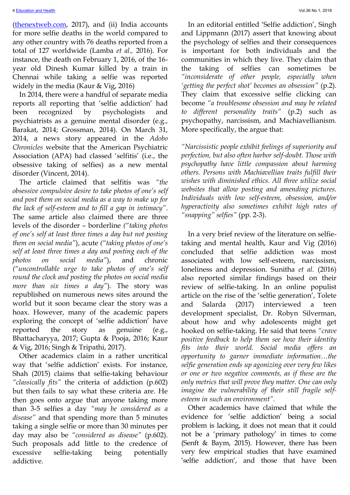[\(thenextweb.com,](https://thenextweb.com/contributors/2017/07/13/india-overtakes-usa-become-facebooks-top-country/) 2017), and (ii) India accounts for more selfie deaths in the world compared to any other country with 76 deaths reported from a total of 127 worldwide (Lamba *et al.,* 2016). For instance, the death on February 1, 2016, of the 16 year old Dinesh Kumar killed by a train in Chennai while taking a selfie was reported widely in the media (Kaur & Vig, 2016)

In 2014, there were a handful of separate media reports all reporting that 'selfie addiction' had been recognized by psychologists and psychiatrists as a genuine mental disorder (e.g., Barakat, 2014; Grossman, 2014). On March 31, 2014, a news story appeared in the *Adobo Chronicles* website that the American Psychiatric Association (APA) had classed 'selfitis' (i.e., the obsessive taking of selfies) as a new mental disorder (Vincent, 2014).

The article claimed that selfitis was *"the obsessive compulsive desire to take photos of one's self and post them on social media as a way to make up for the lack of self-esteem and to fill a gap in intimacy"*. The same article also claimed there are three levels of the disorder – borderline *("taking photos of one's self at least three times a day but not posting them on social media"*), acute *("taking photos of one's self at least three times a day and posting each of the photos on social media"*), and chronic *("uncontrollable urge to take photos of one's self round the clock and posting the photos on social media more than six times a day"*). The story was republished on numerous news sites around the world but it soon became clear the story was a hoax. However, many of the academic papers exploring the concept of 'selfie addiction' have reported the story as genuine (e.g., Bhattacharyya, 2017; Gupta & Pooja, 2016; Kaur & Vig, 2016; Singh & Tripathi, 2017).

Other academics claim in a rather uncritical way that 'selfie addiction' exists. For instance, Shah (2015) claims that selfie-taking behaviour *"classically fits"* the criteria of addiction (p.602) but then fails to say what these criteria are. He then goes onto argue that anyone taking more than 3-5 selfies a day *"may be considered as a disease"* and that spending more than 5 minutes taking a single selfie or more than 30 minutes per day may also be *"considered as disease"* (p.602). Such proposals add little to the credence of excessive selfie-taking being potentially addictive.

In an editorial entitled 'Selfie addiction', Singh and Lippmann (2017) assert that knowing about the psychology of selfies and their consequences is important for both individuals and the communities in which they live. They claim that the taking of selfies can sometimes be *"inconsiderate of other people, especially when 'getting the perfect shot' becomes an obsession"* (p.2). They claim that excessive selfie clicking can become *"a troublesome obsession and may be related to different personality traits"* (p.2) such as psychopathy, narcissism, and Machiavellianism. More specifically, the argue that:

*"Narcissistic people exhibit feelings of superiority and perfection, but also often harbor self-doubt. Those with psychopathy have little compassion about harming others. Persons with Machiavellian traits fulfill their wishes with diminished ethics. All three utilize social websites that allow posting and amending pictures. Individuals with low self-esteem, obsession, and/or hyperactivity also sometimes exhibit high rates of "snapping" selfies"* (pp. 2-3).

In a very brief review of the literature on selfietaking and mental health, Kaur and Vig (2016) concluded that selfie addiction was most associated with low self-esteem, narcissism, loneliness and depression. Sunitha *et al.* (2016) also reported similar findings based on their review of selfie-taking. In an online populist article on the rise of the 'selfie generation', Tolete and Salarda (2017) interviewed a teen development specialist, Dr. Robyn Silverman, about how and why adolescents might get hooked on selfie-taking. He said that teens *"crave positive feedback to help them see how their identity fits into their world. Social media offers an opportunity to garner immediate information…the selfie generation ends up agonizing over very few likes or one or two negative comments, as if these are the only metrics that will prove they matter. One can only imagine the vulnerability of their still fragile selfesteem in such an environment"*.

Other academics have claimed that while the evidence for 'selfie addiction' being a social problem is lacking, it does not mean that it could not be a 'primary pathology' in times to come (Senft & Baym, 2015). However, there has been very few empirical studies that have examined 'selfie addiction', and those that have been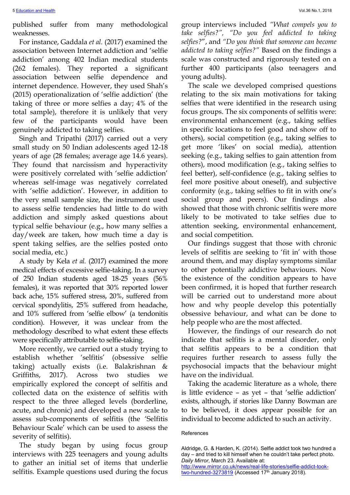published suffer from many methodological weaknesses.

For instance, Gaddala *et al.* (2017) examined the association between Internet addiction and 'selfie addiction' among 402 Indian medical students (262 females). They reported a significant association between selfie dependence and internet dependence. However, they used Shah's (2015) operationalization of 'selfie addiction' (the taking of three or more selfies a day; 4% of the total sample), therefore it is unlikely that very few of the participants would have been genuinely addicted to taking selfies.

Singh and Tripathi (2017) carried out a very small study on 50 Indian adolescents aged 12-18 years of age (28 females; average age 14.6 years). They found that narcissism and hyperactivity were positively correlated with 'selfie addiction' whereas self-image was negatively correlated with 'selfie addiction'. However, in addition to the very small sample size, the instrument used to assess selfie tendencies had little to do with addiction and simply asked questions about typical selfie behaviour (e.g., how many selfies a day/week are taken, how much time a day is spent taking selfies, are the selfies posted onto social media, etc.)

A study by Kela *et al.* (2017) examined the more medical effects of excessive selfie-taking. In a survey of 250 Indian students aged 18-25 years (56% females), it was reported that 30% reported lower back ache, 15% suffered stress, 20%, suffered from cervical spondylitis, 25% suffered from headache, and 10% suffered from 'selfie elbow' (a tendonitis condition). However, it was unclear from the methodology described to what extent these effects were specifically attributable to selfie-taking.

More recently, we carried out a study trying to establish whether 'selfitis' (obsessive selfie taking) actually exists (i.e. Balakrishnan & Griffiths, 2017). Across two studies we empirically explored the concept of selfitis and collected data on the existence of selfitis with respect to the three alleged levels (borderline, acute, and chronic) and developed a new scale to assess sub-components of selfitis (the 'Selfitis Behaviour Scale' which can be used to assess the severity of selfitis).

The study began by using focus group interviews with 225 teenagers and young adults to gather an initial set of items that underlie selfitis. Example questions used during the focus

group interviews included *"What compels you to take selfies?", "Do you feel addicted to taking selfies?*", and *"Do you think that someone can become addicted to taking selfies?"* Based on the findings a scale was constructed and rigorously tested on a further 400 participants (also teenagers and young adults).

The scale we developed comprised questions relating to the six main motivations for taking selfies that were identified in the research using focus groups. The six components of selfitis were: environmental enhancement (e.g., taking selfies in specific locations to feel good and show off to others), social competition (e.g., taking selfies to get more 'likes' on social media), attention seeking (e.g., taking selfies to gain attention from others), mood modification (e.g., taking selfies to feel better), self-confidence (e.g., taking selfies to feel more positive about oneself), and subjective conformity (e.g., taking selfies to fit in with one's social group and peers). Our findings also showed that those with chronic selfitis were more likely to be motivated to take selfies due to attention seeking, environmental enhancement, and social competition.

Our findings suggest that those with chronic levels of selfitis are seeking to 'fit in' with those around them, and may display symptoms similar to other potentially addictive behaviours. Now the existence of the condition appears to have been confirmed, it is hoped that further research will be carried out to understand more about how and why people develop this potentially obsessive behaviour, and what can be done to help people who are the most affected.

However, the findings of our research do not indicate that selfitis is a mental disorder, only that selfitis appears to be a condition that requires further research to assess fully the psychosocial impacts that the behaviour might have on the individual.

Taking the academic literature as a whole, there is little evidence – as yet – that 'selfie addiction' exists, although, if stories like Danny Bowman are to be believed, it does appear possible for an individual to become addicted to such an activity.

References

Aldridge, G. & Harden, K. (2014). Selfie addict took two hundred a day – and tried to kill himself when he couldn't take perfect photo. *Daily Mirror*, March 23. Available at: [http://www.mirror.co.uk/news/real-life-stories/selfie-addict-took-](http://www.mirror.co.uk/news/real-life-stories/selfie-addict-took-two-hundred-3273819)

[two-hundred-3273819](http://www.mirror.co.uk/news/real-life-stories/selfie-addict-took-two-hundred-3273819) (Accessed 17<sup>th</sup> January 2018).